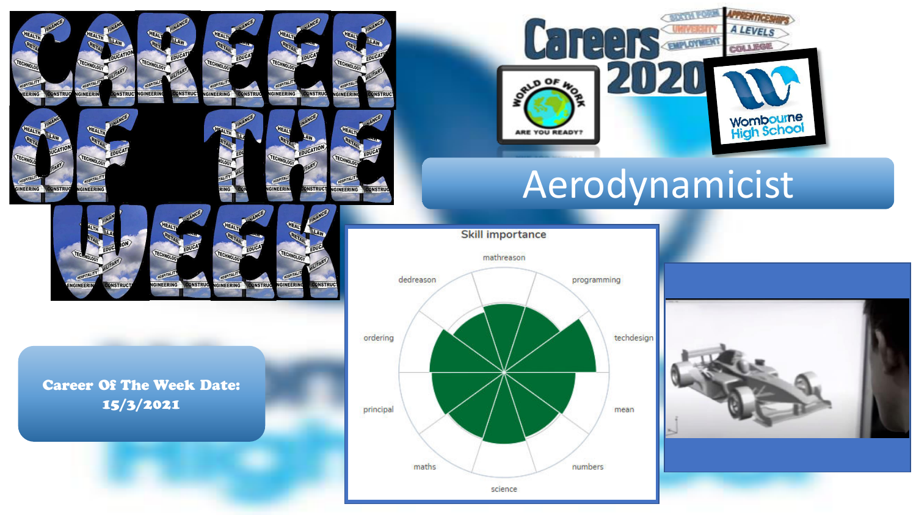

GINEERING

INEER

**DNSTRU** 



**ONSTRUC** 



# Aerodynamicist

**Skill importance** 



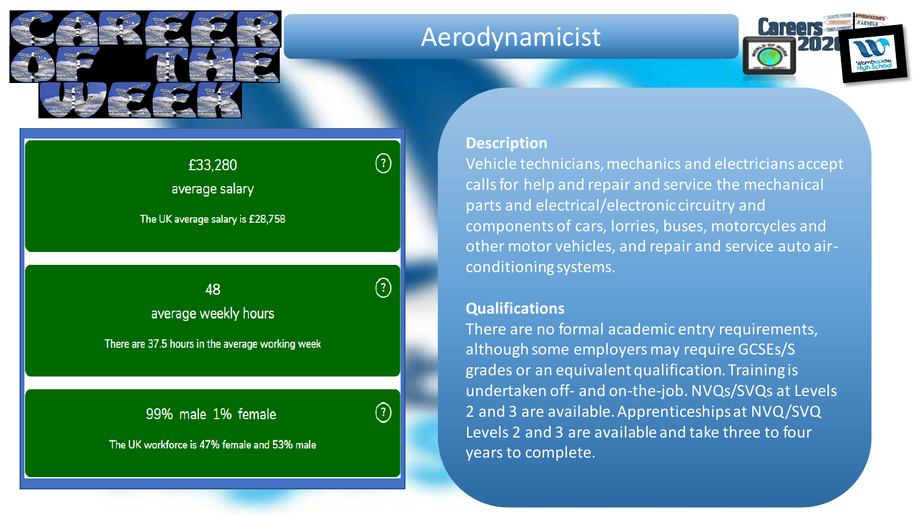

### Aerodynamicist



### £33,280 average salary

The UK average salary is £28,758

Insert avg salary, weekly hours and male/female average weekly hours

There are 37.5 hours in the average working week

99% male 1% female

 $\left( 2\right)$ 

 $\left( 2\right)$ 

The UK workforce is 47% female and 53% male

### **Description**

Vehicle technicians, mechanics and electricians accept calls for help and repair and service the mechanical parts and electrical/electronic circuitry and components of cars, lorries, buses, motorcycles and other motor vehicles, and repair and service auto airconditioning systems.

### **Qualifications**

There are no formal academic entry requirements, although some employers may require GCSEs/S grades or an equivalent qualification. Training is undertaken off- and on-the-job. NVQs/SVQs at Levels 2 and 3 are available. Apprenticeships at NVQ/SVQ Levels 2 and 3 are available and take three to four years to complete.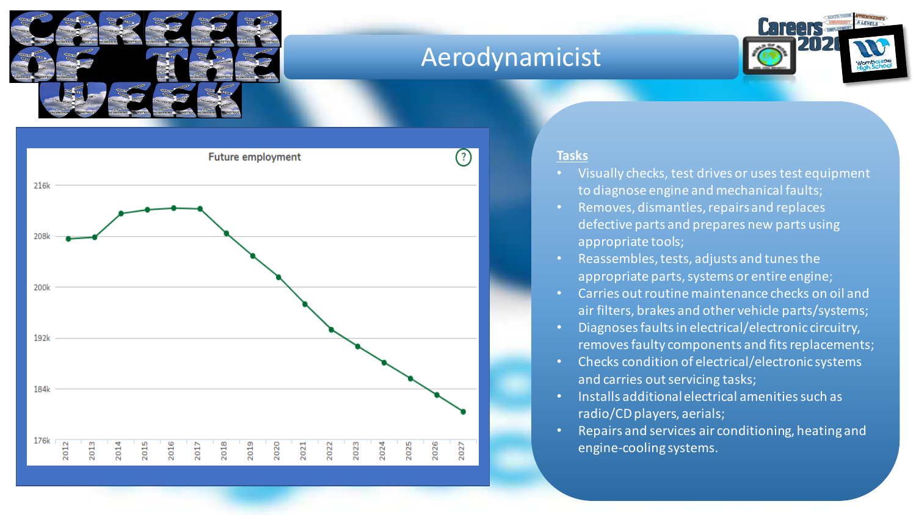

## Aerodynamicist





#### **Tasks**

- Visually checks, test drives or uses test equipment to diagnose engine and mechanical faults;
- Removes, dismantles, repairs and replaces defective parts and prepares new parts using appropriate tools;
- Reassembles, tests, adjusts and tunes the appropriate parts, systems or entire engine;
- Carries out routine maintenance checks on oil and air filters, brakes and other vehicle parts/systems;
- Diagnoses faults in electrical/electronic circuitry, removes faulty components and fits replacements;
- Checks condition of electrical/electronic systems and carries out servicing tasks;
- Installs additional electrical amenities such as radio/CD players, aerials;
- Repairs and services air conditioning, heating and engine-cooling systems.